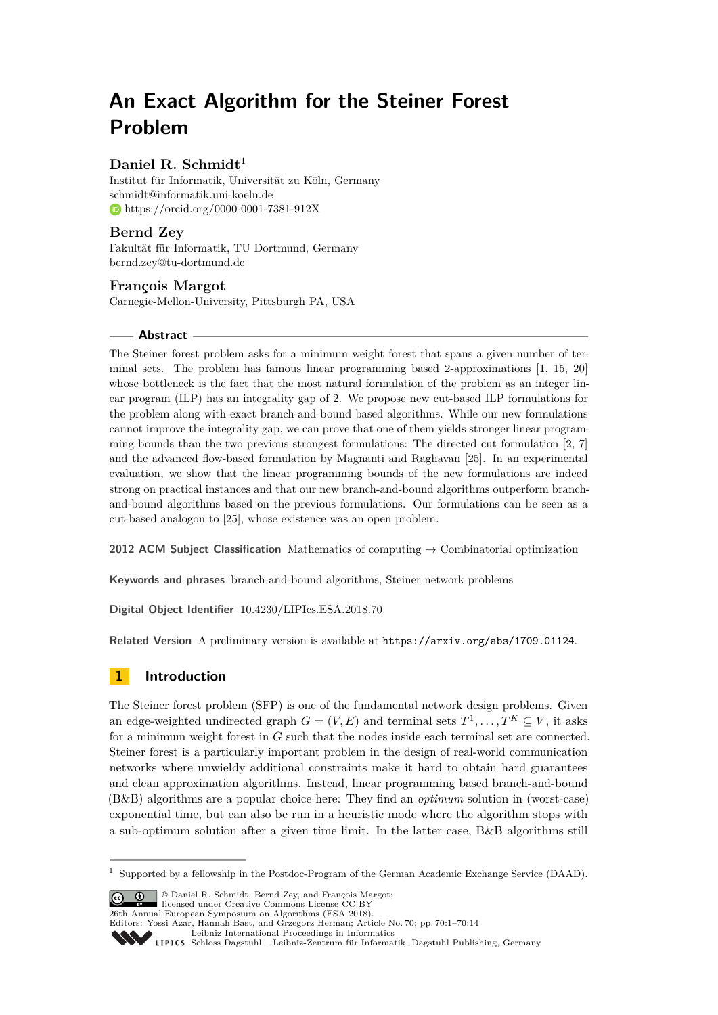# **An Exact Algorithm for the Steiner Forest Problem**

# Daniel R. Schmidt<sup>1</sup>

Institut für Informatik, Universität zu Köln, Germany [schmidt@informatik.uni-koeln.de](mailto:schmidt@informatik.uni-koeln.de) <https://orcid.org/0000-0001-7381-912X>

# **Bernd Zey**

Fakultät für Informatik, TU Dortmund, Germany [bernd.zey@tu-dortmund.de](mailto:bernd.zey@tu-dortmund.de)

## **François Margot**

Carnegie-Mellon-University, Pittsburgh PA, USA

## **Abstract**

The Steiner forest problem asks for a minimum weight forest that spans a given number of terminal sets. The problem has famous linear programming based 2-approximations [\[1,](#page-12-0) [15,](#page-12-1) [20\]](#page-12-2) whose bottleneck is the fact that the most natural formulation of the problem as an integer linear program (ILP) has an integrality gap of 2. We propose new cut-based ILP formulations for the problem along with exact branch-and-bound based algorithms. While our new formulations cannot improve the integrality gap, we can prove that one of them yields stronger linear programming bounds than the two previous strongest formulations: The directed cut formulation [\[2,](#page-12-3) [7\]](#page-12-4) and the advanced flow-based formulation by Magnanti and Raghavan [\[25\]](#page-13-0). In an experimental evaluation, we show that the linear programming bounds of the new formulations are indeed strong on practical instances and that our new branch-and-bound algorithms outperform branchand-bound algorithms based on the previous formulations. Our formulations can be seen as a cut-based analogon to [\[25\]](#page-13-0), whose existence was an open problem.

**2012 ACM Subject Classification** Mathematics of computing → Combinatorial optimization

**Keywords and phrases** branch-and-bound algorithms, Steiner network problems

**Digital Object Identifier** [10.4230/LIPIcs.ESA.2018.70](http://dx.doi.org/10.4230/LIPIcs.ESA.2018.70)

**Related Version** A preliminary version is available at <https://arxiv.org/abs/1709.01124>.

# **1 Introduction**

The Steiner forest problem (SFP) is one of the fundamental network design problems. Given an edge-weighted undirected graph  $G = (V, E)$  and terminal sets  $T^1, \ldots, T^K \subseteq V$ , it asks for a minimum weight forest in *G* such that the nodes inside each terminal set are connected. Steiner forest is a particularly important problem in the design of real-world communication networks where unwieldy additional constraints make it hard to obtain hard guarantees and clean approximation algorithms. Instead, linear programming based branch-and-bound (B&B) algorithms are a popular choice here: They find an *optimum* solution in (worst-case) exponential time, but can also be run in a heuristic mode where the algorithm stops with a sub-optimum solution after a given time limit. In the latter case, B&B algorithms still

© Daniel R. Schmidt, Bernd Zey, and François Margot; licensed under Creative Commons License CC-BY

<sup>1</sup> Supported by a fellowship in the Postdoc-Program of the German Academic Exchange Service (DAAD).

<sup>26</sup>th Annual European Symposium on Algorithms (ESA 2018). Editors: Yossi Azar, Hannah Bast, and Grzegorz Herman; Article No. 70; pp. 70:1–70[:14](#page-13-1) [Leibniz International Proceedings in Informatics](http://www.dagstuhl.de/lipics/) Leibniz International Froceedings in miormatics<br>
LIPICS [Schloss Dagstuhl – Leibniz-Zentrum für Informatik, Dagstuhl Publishing, Germany](http://www.dagstuhl.de)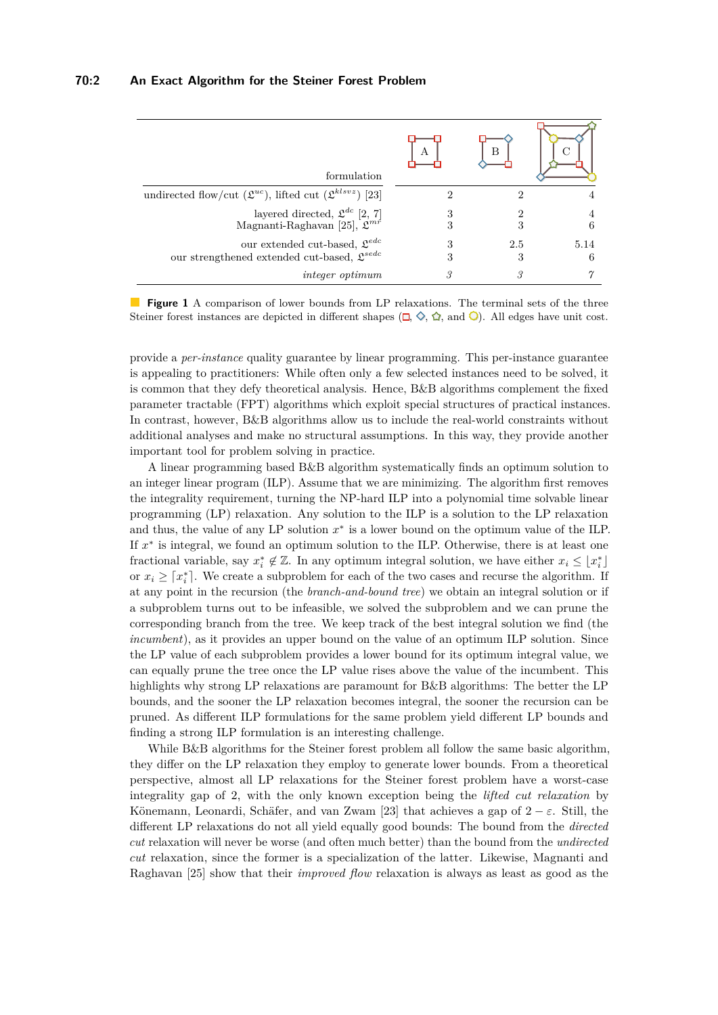<span id="page-1-0"></span>

| formulation                                                                                                | А | в        |           |
|------------------------------------------------------------------------------------------------------------|---|----------|-----------|
| undirected flow/cut ( $\mathfrak{L}^{uc}$ ), lifted cut ( $\mathfrak{L}^{klsvz}$ ) [23]                    | 2 |          |           |
| layered directed, $\mathfrak{L}^{dc}$ [2, 7]<br>Magnanti-Raghavan [25], $\mathcal{L}^{mr}$                 | 3 | 3        | 4<br>6    |
| our extended cut-based, $\mathfrak{L}^{edc}$<br>our strengthened extended cut-based, $\mathfrak{L}^{sede}$ | 3 | 2.5<br>3 | 5.14<br>6 |
| <i>integer optimum</i>                                                                                     | 3 | 3        |           |

**Figure 1** A comparison of lower bounds from LP relaxations. The terminal sets of the three Steiner forest instances are depicted in different shapes  $(\Box, \Diamond, \Diamond, \Box)$ . All edges have unit cost.

provide a *per-instance* quality guarantee by linear programming. This per-instance guarantee is appealing to practitioners: While often only a few selected instances need to be solved, it is common that they defy theoretical analysis. Hence, B&B algorithms complement the fixed parameter tractable (FPT) algorithms which exploit special structures of practical instances. In contrast, however, B&B algorithms allow us to include the real-world constraints without additional analyses and make no structural assumptions. In this way, they provide another important tool for problem solving in practice.

A linear programming based B&B algorithm systematically finds an optimum solution to an integer linear program (ILP). Assume that we are minimizing. The algorithm first removes the integrality requirement, turning the NP-hard ILP into a polynomial time solvable linear programming (LP) relaxation. Any solution to the ILP is a solution to the LP relaxation and thus, the value of any  $LP$  solution  $x^*$  is a lower bound on the optimum value of the ILP. If  $x^*$  is integral, we found an optimum solution to the ILP. Otherwise, there is at least one fractional variable, say  $x_i^* \notin \mathbb{Z}$ . In any optimum integral solution, we have either  $x_i \leq \lfloor x_i^* \rfloor$ or  $x_i \geq \lceil x_i^* \rceil$ . We create a subproblem for each of the two cases and recurse the algorithm. If at any point in the recursion (the *branch-and-bound tree*) we obtain an integral solution or if a subproblem turns out to be infeasible, we solved the subproblem and we can prune the corresponding branch from the tree. We keep track of the best integral solution we find (the *incumbent*), as it provides an upper bound on the value of an optimum ILP solution. Since the LP value of each subproblem provides a lower bound for its optimum integral value, we can equally prune the tree once the LP value rises above the value of the incumbent. This highlights why strong LP relaxations are paramount for B&B algorithms: The better the LP bounds, and the sooner the LP relaxation becomes integral, the sooner the recursion can be pruned. As different ILP formulations for the same problem yield different LP bounds and finding a strong ILP formulation is an interesting challenge.

While B&B algorithms for the Steiner forest problem all follow the same basic algorithm, they differ on the LP relaxation they employ to generate lower bounds. From a theoretical perspective, almost all LP relaxations for the Steiner forest problem have a worst-case integrality gap of 2, with the only known exception being the *lifted cut relaxation* by Könemann, Leonardi, Schäfer, and van Zwam [\[23\]](#page-13-2) that achieves a gap of  $2 - \varepsilon$ . Still, the different LP relaxations do not all yield equally good bounds: The bound from the *directed cut* relaxation will never be worse (and often much better) than the bound from the *undirected cut* relaxation, since the former is a specialization of the latter. Likewise, Magnanti and Raghavan [\[25\]](#page-13-0) show that their *improved flow* relaxation is always as least as good as the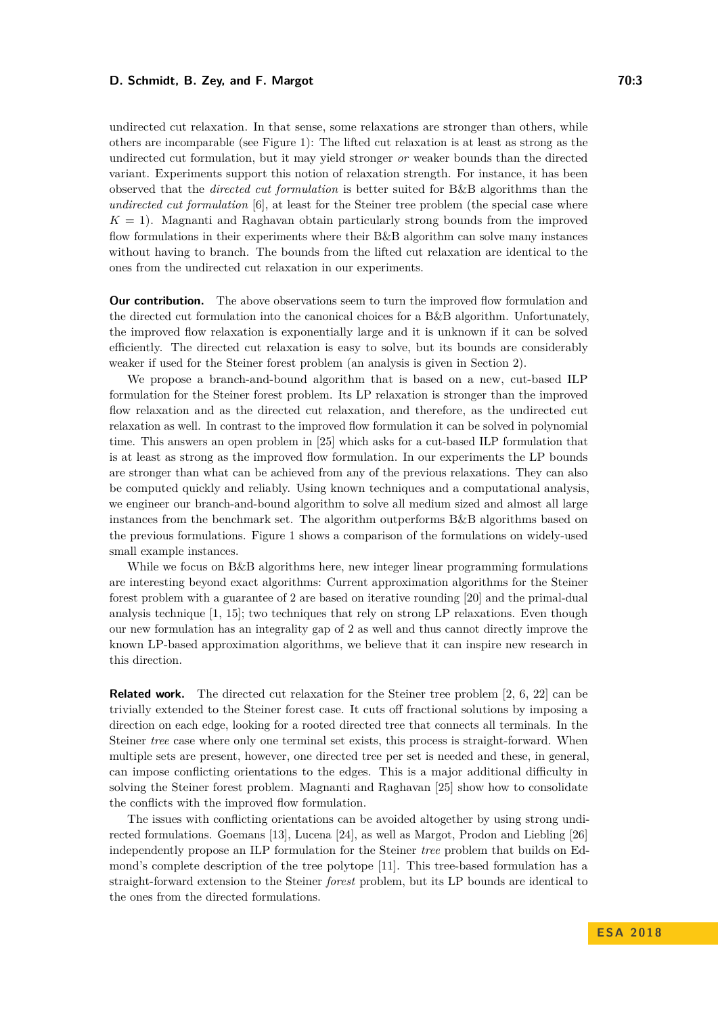#### **D. Schmidt, B. Zey, and F. Margot 70:3** *The Schmidt, B. Zey, and F. Margot**70:3*

undirected cut relaxation. In that sense, some relaxations are stronger than others, while others are incomparable (see Figure [1\)](#page-1-0): The lifted cut relaxation is at least as strong as the undirected cut formulation, but it may yield stronger *or* weaker bounds than the directed variant. Experiments support this notion of relaxation strength. For instance, it has been observed that the *directed cut formulation* is better suited for B&B algorithms than the *undirected cut formulation* [\[6\]](#page-12-5), at least for the Steiner tree problem (the special case where  $K = 1$ ). Magnanti and Raghavan obtain particularly strong bounds from the improved flow formulations in their experiments where their B&B algorithm can solve many instances without having to branch. The bounds from the lifted cut relaxation are identical to the ones from the undirected cut relaxation in our experiments.

**Our contribution.** The above observations seem to turn the improved flow formulation and the directed cut formulation into the canonical choices for a B&B algorithm. Unfortunately, the improved flow relaxation is exponentially large and it is unknown if it can be solved efficiently. The directed cut relaxation is easy to solve, but its bounds are considerably weaker if used for the Steiner forest problem (an analysis is given in Section [2\)](#page-3-0).

We propose a branch-and-bound algorithm that is based on a new, cut-based ILP formulation for the Steiner forest problem. Its LP relaxation is stronger than the improved flow relaxation and as the directed cut relaxation, and therefore, as the undirected cut relaxation as well. In contrast to the improved flow formulation it can be solved in polynomial time. This answers an open problem in [\[25\]](#page-13-0) which asks for a cut-based ILP formulation that is at least as strong as the improved flow formulation. In our experiments the LP bounds are stronger than what can be achieved from any of the previous relaxations. They can also be computed quickly and reliably. Using known techniques and a computational analysis, we engineer our branch-and-bound algorithm to solve all medium sized and almost all large instances from the benchmark set. The algorithm outperforms B&B algorithms based on the previous formulations. Figure [1](#page-1-0) shows a comparison of the formulations on widely-used small example instances.

While we focus on B&B algorithms here, new integer linear programming formulations are interesting beyond exact algorithms: Current approximation algorithms for the Steiner forest problem with a guarantee of 2 are based on iterative rounding [\[20\]](#page-12-2) and the primal-dual analysis technique [\[1,](#page-12-0) [15\]](#page-12-1); two techniques that rely on strong LP relaxations. Even though our new formulation has an integrality gap of 2 as well and thus cannot directly improve the known LP-based approximation algorithms, we believe that it can inspire new research in this direction.

**Related work.** The directed cut relaxation for the Steiner tree problem [\[2,](#page-12-3) [6,](#page-12-5) [22\]](#page-13-3) can be trivially extended to the Steiner forest case. It cuts off fractional solutions by imposing a direction on each edge, looking for a rooted directed tree that connects all terminals. In the Steiner *tree* case where only one terminal set exists, this process is straight-forward. When multiple sets are present, however, one directed tree per set is needed and these, in general, can impose conflicting orientations to the edges. This is a major additional difficulty in solving the Steiner forest problem. Magnanti and Raghavan [\[25\]](#page-13-0) show how to consolidate the conflicts with the improved flow formulation.

The issues with conflicting orientations can be avoided altogether by using strong undirected formulations. Goemans [\[13\]](#page-12-6), Lucena [\[24\]](#page-13-4), as well as Margot, Prodon and Liebling [\[26\]](#page-13-5) independently propose an ILP formulation for the Steiner *tree* problem that builds on Edmond's complete description of the tree polytope [\[11\]](#page-12-7). This tree-based formulation has a straight-forward extension to the Steiner *forest* problem, but its LP bounds are identical to the ones from the directed formulations.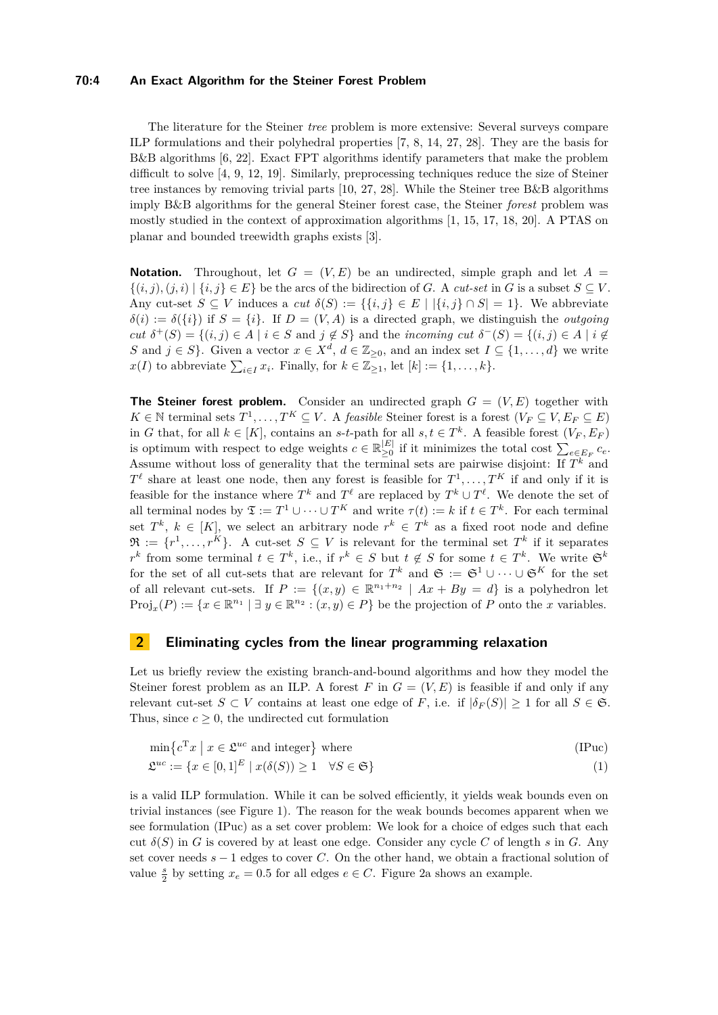#### **70:4 An Exact Algorithm for the Steiner Forest Problem**

The literature for the Steiner *tree* problem is more extensive: Several surveys compare ILP formulations and their polyhedral properties [\[7,](#page-12-4) [8,](#page-12-8) [14,](#page-12-9) [27,](#page-13-6) [28\]](#page-13-7). They are the basis for B&B algorithms [\[6,](#page-12-5) [22\]](#page-13-3). Exact FPT algorithms identify parameters that make the problem difficult to solve [\[4,](#page-12-10) [9,](#page-12-11) [12,](#page-12-12) [19\]](#page-12-13). Similarly, preprocessing techniques reduce the size of Steiner tree instances by removing trivial parts [\[10,](#page-12-14) [27,](#page-13-6) [28\]](#page-13-7). While the Steiner tree B&B algorithms imply B&B algorithms for the general Steiner forest case, the Steiner *forest* problem was mostly studied in the context of approximation algorithms [\[1,](#page-12-0) [15,](#page-12-1) [17,](#page-12-15) [18,](#page-12-16) [20\]](#page-12-2). A PTAS on planar and bounded treewidth graphs exists [\[3\]](#page-12-17).

**Notation.** Throughout, let  $G = (V, E)$  be an undirected, simple graph and let  $A =$  $\{(i, j), (j, i) \mid \{i, j\} \in E\}$  be the arcs of the bidirection of *G*. A *cut-set* in *G* is a subset  $S \subseteq V$ . Any cut-set  $S \subseteq V$  induces a *cut*  $\delta(S) := \{ \{i, j\} \in E \mid |\{i, j\} \cap S| = 1 \}$ . We abbreviate  $\delta(i) := \delta({i})$  if  $S = {i}$ . If  $D = (V, A)$  is a directed graph, we distinguish the *outgoing cut*  $\delta^+(S) = \{(i,j) \in A \mid i \in S \text{ and } j \notin S\}$  and the *incoming cut*  $\delta^-(S) = \{(i,j) \in A \mid i \notin S\}$ *S* and *j* ∈ *S*}. Given a vector  $x \in X^d$ ,  $d \in \mathbb{Z}_{\geq 0}$ , and an index set  $I \subseteq \{1, ..., d\}$  we write  $x(I)$  to abbreviate  $\sum_{i \in I} x_i$ . Finally, for  $k \in \mathbb{Z}_{\geq 1}$ , let  $[k] := \{1, \ldots, k\}$ .

**The Steiner forest problem.** Consider an undirected graph  $G = (V, E)$  together with *K* ∈ N terminal sets  $T^1, \ldots, T^K ⊆ V$ . A *feasible* Steiner forest is a forest  $(V_F ⊆ V, E_F ⊆ E)$ in *G* that, for all  $k \in [K]$ , contains an *s*-*t*-path for all  $s, t \in T^k$ . A feasible forest  $(V_F, E_F)$ is optimum with respect to edge weights  $c \in \mathbb{R}^{|E|}_{\geq 0}$  $\sum_{e \in E_F}^{|E|} c_e$  if it minimizes the total cost  $\sum_{e \in E_F} c_e$ . Assume without loss of generality that the terminal sets are pairwise disjoint: If  $T^k$  and  $T^{\ell}$  share at least one node, then any forest is feasible for  $T^1, \ldots, T^K$  if and only if it is feasible for the instance where  $T^k$  and  $T^{\ell}$  are replaced by  $T^k \cup T^{\ell}$ . We denote the set of all terminal nodes by  $\mathfrak{T} := T^1 \cup \cdots \cup T^K$  and write  $\tau(t) := k$  if  $t \in T^k$ . For each terminal set  $T^k$ ,  $k \in [K]$ , we select an arbitrary node  $r^k \in T^k$  as a fixed root node and define  $\mathfrak{R} := \{r^1, \ldots, r^K\}$ . A cut-set  $S \subseteq V$  is relevant for the terminal set  $T^k$  if it separates  $r^k$  from some terminal  $t \in T^k$ , i.e., if  $r^k \in S$  but  $t \notin S$  for some  $t \in T^k$ . We write  $\mathfrak{S}^k$ for the set of all cut-sets that are relevant for  $T^k$  and  $\mathfrak{S} := \mathfrak{S}^1 \cup \cdots \cup \mathfrak{S}^K$  for the set of all relevant cut-sets. If  $P := \{(x, y) \in \mathbb{R}^{n_1+n_2} \mid Ax + By = d\}$  is a polyhedron let  $Proj_x(P) := \{x \in \mathbb{R}^{n_1} \mid \exists y \in \mathbb{R}^{n_2} : (x, y) \in P\}$  be the projection of *P* onto the *x* variables.

## <span id="page-3-0"></span>**2 Eliminating cycles from the linear programming relaxation**

Let us briefly review the existing branch-and-bound algorithms and how they model the Steiner forest problem as an ILP. A forest  $F$  in  $G = (V, E)$  is feasible if and only if any relevant cut-set  $S \subset V$  contains at least one edge of *F*, i.e. if  $|\delta_F(S)| \geq 1$  for all  $S \in \mathfrak{S}$ . Thus, since  $c \geq 0$ , the undirected cut formulation

<span id="page-3-2"></span><span id="page-3-1"></span>
$$
\min \left\{ c^{\mathrm{T}} x \mid x \in \mathfrak{L}^{uc} \text{ and integer} \right\} \text{ where } \tag{IPuc}
$$

$$
\mathfrak{L}^{uc} := \{ x \in [0,1]^E \mid x(\delta(S)) \ge 1 \quad \forall S \in \mathfrak{S} \}
$$
\n<sup>(1)</sup>

is a valid ILP formulation. While it can be solved efficiently, it yields weak bounds even on trivial instances (see Figure [1\)](#page-1-0). The reason for the weak bounds becomes apparent when we see formulation [\(IPuc\)](#page-3-1) as a set cover problem: We look for a choice of edges such that each cut  $\delta(S)$  in *G* is covered by at least one edge. Consider any cycle *C* of length *s* in *G*. Any set cover needs *s* − 1 edges to cover *C*. On the other hand, we obtain a fractional solution of value  $\frac{s}{2}$  by setting  $x_e = 0.5$  for all edges  $e \in C$ . Figure [2a](#page-4-0) shows an example.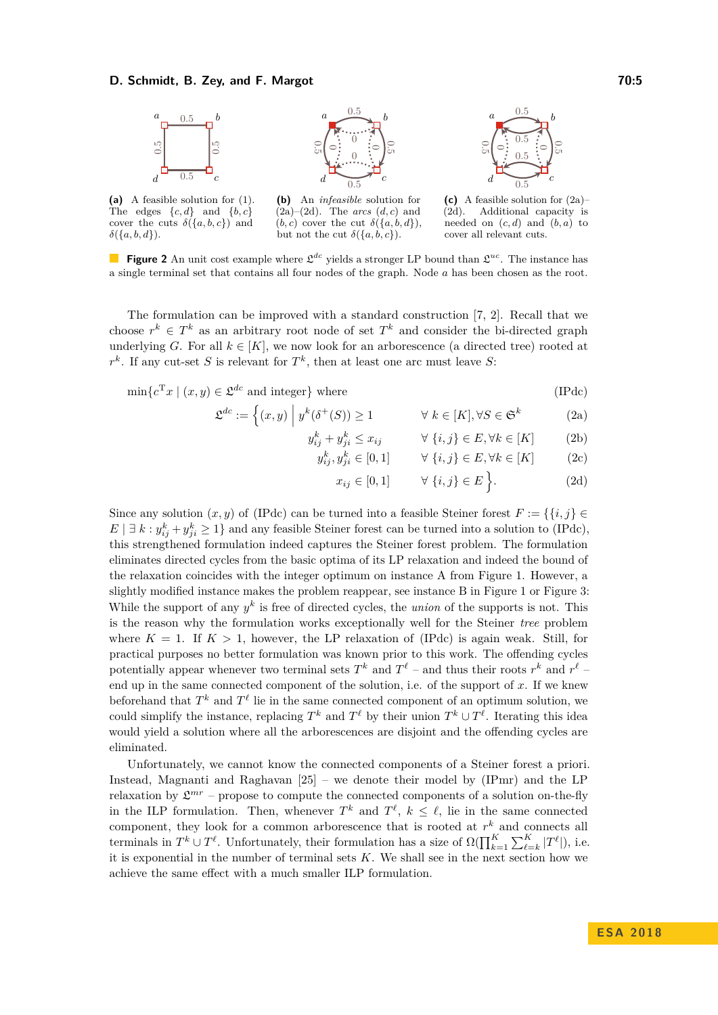#### **D. Schmidt, B. Zey, and F. Margot 70:5** *The Schmidt, B. Zey, and F. Margot**70:5*

<span id="page-4-0"></span>

The edges  $\{c, d\}$  and  $\{b, c\}$ cover the cuts  $\delta({a, b, c})$  and *δ*({*a, b, d*}).

**(b)** An *infeasible* solution for  $(2a)-(2d)$  $(2a)-(2d)$  $(2a)-(2d)$ . The *arcs*  $(d, c)$  and  $(b, c)$  cover the cut  $\delta({a, b, d})$ , but not the cut  $\delta({a, b, c})$ .



<span id="page-4-3"></span><span id="page-4-1"></span>**(c)** A feasible solution for [\(2a\)](#page-4-1)– [\(2d\)](#page-4-2). Additional capacity is needed on  $(c, d)$  and  $(b, a)$  to cover all relevant cuts.

**Figure 2** An unit cost example where  $\mathfrak{L}^{dc}$  yields a stronger LP bound than  $\mathfrak{L}^{uc}$ . The instance has a single terminal set that contains all four nodes of the graph. Node *a* has been chosen as the root.

The formulation can be improved with a standard construction [\[7,](#page-12-4) [2\]](#page-12-3). Recall that we choose  $r^k \in T^k$  as an arbitrary root node of set  $T^k$  and consider the bi-directed graph underlying *G*. For all  $k \in [K]$ , we now look for an arborescence (a directed tree) rooted at  $r^k$ . If any cut-set *S* is relevant for  $T^k$ , then at least one arc must leave *S*:

$$
\min \{ c^{\mathrm{T}} x \mid (x, y) \in \mathfrak{L}^{dc} \text{ and integer} \} \text{ where } \tag{IPdc}
$$

$$
\mathfrak{L}^{dc} := \left\{ (x, y) \middle| \ y^k(\delta^+(S)) \ge 1 \right. \qquad \forall \ k \in [K], \forall S \in \mathfrak{S}^k \right\} \tag{2a}
$$

$$
y_{ij}^k + y_{ji}^k \le x_{ij} \qquad \forall \{i, j\} \in E, \forall k \in [K] \tag{2b}
$$

$$
y_{ij}^k, y_{ji}^k \in [0, 1] \qquad \forall \ \{i, j\} \in E, \forall k \in [K] \tag{2c}
$$

<span id="page-4-2"></span>
$$
x_{ij} \in [0,1] \qquad \forall \ \{i,j\} \in E \Big\}.
$$
 (2d)

Since any solution  $(x, y)$  of [\(IPdc\)](#page-4-3) can be turned into a feasible Steiner forest  $F := \{ \{i, j\} \in$  $E | \exists k : y_{ij}^k + y_{ji}^k \ge 1$  and any feasible Steiner forest can be turned into a solution to [\(IPdc\)](#page-4-3), this strengthened formulation indeed captures the Steiner forest problem. The formulation eliminates directed cycles from the basic optima of its LP relaxation and indeed the bound of the relaxation coincides with the integer optimum on instance A from Figure [1.](#page-1-0) However, a slightly modified instance makes the problem reappear, see instance B in Figure [1](#page-1-0) or Figure [3:](#page-5-0) While the support of any  $y^k$  is free of directed cycles, the *union* of the supports is not. This is the reason why the formulation works exceptionally well for the Steiner *tree* problem where  $K = 1$ . If  $K > 1$ , however, the LP relaxation of [\(IPdc\)](#page-4-3) is again weak. Still, for practical purposes no better formulation was known prior to this work. The offending cycles potentially appear whenever two terminal sets  $T^k$  and  $T^{\ell}$  – and thus their roots  $r^k$  and  $r^{\ell}$  – end up in the same connected component of the solution, i.e. of the support of *x*. If we knew beforehand that  $T^k$  and  $T^{\ell}$  lie in the same connected component of an optimum solution, we could simplify the instance, replacing  $T^k$  and  $T^{\ell}$  by their union  $T^k \cup T^{\ell}$ . Iterating this idea would yield a solution where all the arborescences are disjoint and the offending cycles are eliminated.

Unfortunately, we cannot know the connected components of a Steiner forest a priori. Instead, Magnanti and Raghavan [\[25\]](#page-13-0) – we denote their model by (IPmr) and the LP relaxation by  $\mathfrak{L}^{mr}$  – propose to compute the connected components of a solution on-the-fly in the ILP formulation. Then, whenever  $T^k$  and  $T^{\ell}$ ,  $k \leq \ell$ , lie in the same connected component, they look for a common arborescence that is rooted at *r <sup>k</sup>* and connects all terminals in  $T^k \cup T^{\ell}$ . Unfortunately, their formulation has a size of  $\Omega(\prod_{k=1}^K \sum_{\ell=k}^K |T^{\ell}|)$ , i.e. it is exponential in the number of terminal sets *K*. We shall see in the next section how we achieve the same effect with a much smaller ILP formulation.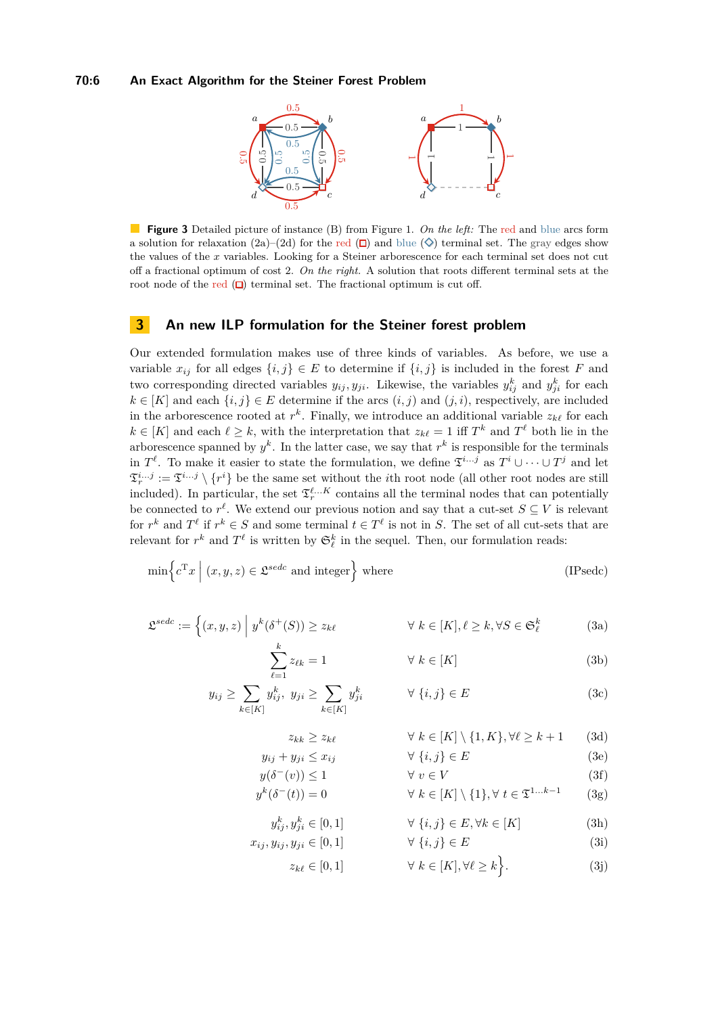#### <span id="page-5-0"></span>**70:6 An Exact Algorithm for the Steiner Forest Problem**



**Figure 3** Detailed picture of instance (B) from Figure [1.](#page-1-0) *On the left:* The red and blue arcs form a solution for relaxation [\(2a\)](#page-4-1)–[\(2d\)](#page-4-2) for the red  $(\Box)$  and blue  $(\Diamond)$  terminal set. The gray edges show the values of the *x* variables. Looking for a Steiner arborescence for each terminal set does not cut off a fractional optimum of cost 2. *On the right.* A solution that roots different terminal sets at the root node of the red  $(\Box)$  terminal set. The fractional optimum is cut off.

## <span id="page-5-10"></span>**3 An new ILP formulation for the Steiner forest problem**

Our extended formulation makes use of three kinds of variables. As before, we use a variable  $x_{ij}$  for all edges  $\{i, j\} \in E$  to determine if  $\{i, j\}$  is included in the forest F and two corresponding directed variables  $y_{ij}, y_{ji}$ . Likewise, the variables  $y_{ij}^k$  and  $y_{ji}^k$  for each  $k \in [K]$  and each  $\{i, j\} \in E$  determine if the arcs  $(i, j)$  and  $(j, i)$ , respectively, are included in the arborescence rooted at  $r^k$ . Finally, we introduce an additional variable  $z_{k\ell}$  for each  $k \in [K]$  and each  $\ell \geq k$ , with the interpretation that  $z_{k\ell} = 1$  iff  $T^k$  and  $T^{\ell}$  both lie in the arborescence spanned by  $y^k$ . In the latter case, we say that  $r^k$  is responsible for the terminals in  $T^{\ell}$ . To make it easier to state the formulation, we define  $\mathfrak{T}^{i...j}$  as  $T^i \cup \cdots \cup T^j$  and let  $\mathfrak{T}_r^{i...j} := \mathfrak{T}^{i...j} \setminus \{r^i\}$  be the same set without the *i*th root node (all other root nodes are still included). In particular, the set  $\mathfrak{T}_r^{\ell...K}$  contains all the terminal nodes that can potentially be connected to  $r^{\ell}$ . We extend our previous notion and say that a cut-set  $S \subseteq V$  is relevant for  $r^k$  and  $T^{\ell}$  if  $r^k \in S$  and some terminal  $t \in T^{\ell}$  is not in *S*. The set of all cut-sets that are relevant for  $r^k$  and  $T^{\ell}$  is written by  $\mathfrak{S}_{\ell}^k$  in the sequel. Then, our formulation reads:

$$
\min \left\{ c^{\mathrm{T}} x \mid (x, y, z) \in \mathfrak{L}^{sede} \text{ and integer} \right\} \text{ where } \tag{IPsedc}
$$

$$
\mathfrak{L}^{sedc} := \left\{ (x, y, z) \middle| y^k(\delta^+(S)) \ge z_{k\ell} \right.\n\qquad \forall k \in [K], \ell \ge k, \forall S \in \mathfrak{S}_{\ell}^k
$$
\n(3a)

<span id="page-5-9"></span><span id="page-5-1"></span>
$$
\sum_{\ell=1}^{k} z_{\ell k} = 1 \qquad \forall \ k \in [K] \tag{3b}
$$

$$
y_{ij} \ge \sum_{k \in [K]} y_{ij}^k, \ y_{ji} \ge \sum_{k \in [K]} y_{ji}^k \qquad \forall \ \{i, j\} \in E
$$
 (3c)

<span id="page-5-7"></span><span id="page-5-6"></span><span id="page-5-5"></span><span id="page-5-4"></span><span id="page-5-3"></span><span id="page-5-2"></span>
$$
z_{kk} \ge z_{k\ell} \qquad \forall \ k \in [K] \setminus \{1, K\}, \forall \ell \ge k+1 \qquad (3d)
$$

$$
y_{ij} + y_{ji} \le x_{ij} \qquad \forall \ i, j \in E \tag{3e}
$$

$$
y(\delta^-(v)) \le 1 \qquad \forall v \in V
$$
\n
$$
y^k(\delta^-(t)) = 0 \qquad \forall k \in [K] \setminus \{1\}, \forall t \in \mathfrak{T}^{1...k-1}
$$
\n(3g)

$$
y_{ij}^k, y_{ji}^k \in [0, 1] \qquad \forall \ \{i, j\} \in E, \forall k \in [K] \tag{3h}
$$

$$
x_{ij}, y_{ij}, y_{ji} \in [0, 1] \qquad \forall \ \{i, j\} \in E \tag{3i}
$$

<span id="page-5-8"></span> $z_{k\ell} \in [0, 1]$   $\forall k \in [K], \forall \ell \geq k$ *.* (3j)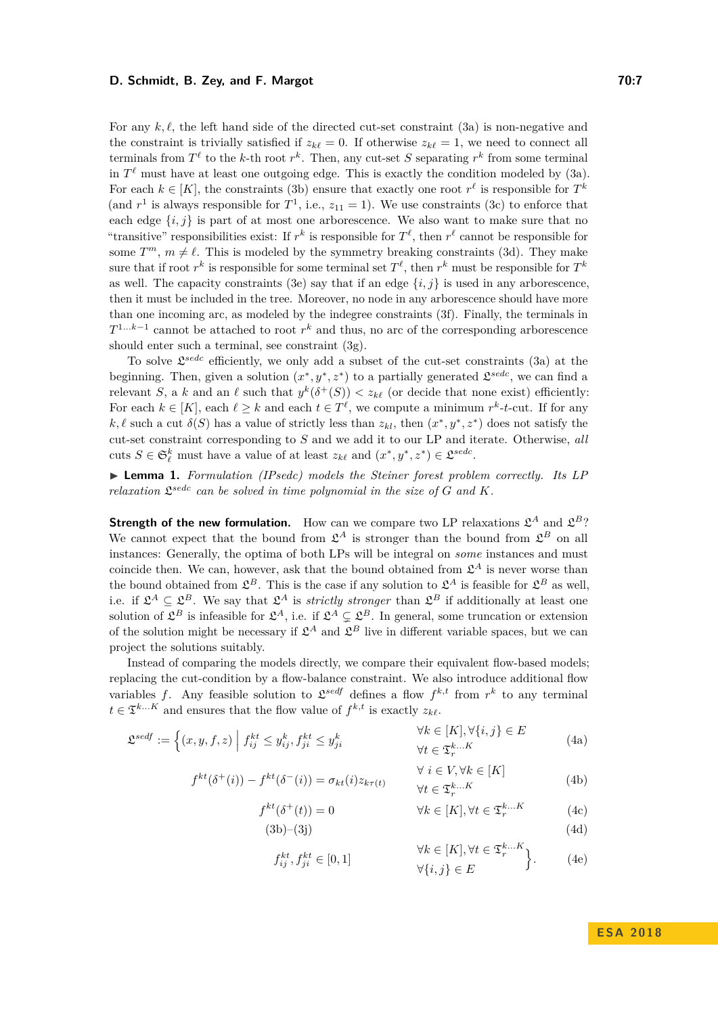#### **D. Schmidt, B. Zey, and F. Margot 70:7** *The Schmidt, B. Zey, and F. Margot**70:7*

For any  $k, \ell$ , the left hand side of the directed cut-set constraint [\(3a\)](#page-5-1) is non-negative and the constraint is trivially satisfied if  $z_{k\ell} = 0$ . If otherwise  $z_{k\ell} = 1$ , we need to connect all terminals from  $T^{\ell}$  to the *k*-th root  $r^{k}$ . Then, any cut-set *S* separating  $r^{k}$  from some terminal in  $T^{\ell}$  must have at least one outgoing edge. This is exactly the condition modeled by  $(3a)$ . For each  $k \in [K]$ , the constraints [\(3b\)](#page-5-2) ensure that exactly one root  $r^{\ell}$  is responsible for  $T^k$ (and  $r^1$  is always responsible for  $T^1$ , i.e.,  $z_{11} = 1$ ). We use constraints [\(3c\)](#page-5-3) to enforce that each edge  $\{i, j\}$  is part of at most one arborescence. We also want to make sure that no "transitive" responsibilities exist: If  $r^k$  is responsible for  $T^{\ell}$ , then  $r^{\ell}$  cannot be responsible for some  $T^m$ ,  $m \neq \ell$ . This is modeled by the symmetry breaking constraints [\(3d\)](#page-5-4). They make sure that if root  $r^k$  is responsible for some terminal set  $T^{\ell}$ , then  $r^k$  must be responsible for  $T^k$ as well. The capacity constraints [\(3e\)](#page-5-5) say that if an edge  $\{i, j\}$  is used in any arborescence, then it must be included in the tree. Moreover, no node in any arborescence should have more than one incoming arc, as modeled by the indegree constraints [\(3f\)](#page-5-6). Finally, the terminals in *T*<sup>1...k–1</sup> cannot be attached to root  $r<sup>k</sup>$  and thus, no arc of the corresponding arborescence should enter such a terminal, see constraint [\(3g\)](#page-5-7).

To solve L *sedc* efficiently, we only add a subset of the cut-set constraints [\(3a\)](#page-5-1) at the beginning. Then, given a solution  $(x^*, y^*, z^*)$  to a partially generated  $\mathcal{L}^{sedc}$ , we can find a relevant *S*, a *k* and an  $\ell$  such that  $y^k(\delta^+(S)) < z_{k\ell}$  (or decide that none exist) efficiently: For each  $k \in [K]$ , each  $\ell \geq k$  and each  $t \in T^{\ell}$ , we compute a minimum  $r^k$ -t-cut. If for any  $k, \ell$  such a cut  $\delta(S)$  has a value of strictly less than  $z_{kl}$ , then  $(x^*, y^*, z^*)$  does not satisfy the cut-set constraint corresponding to *S* and we add it to our LP and iterate. Otherwise, *all* cuts  $S \in \mathfrak{S}_{\ell}^k$  must have a value of at least  $z_{k\ell}$  and  $(x^*, y^*, z^*) \in \mathfrak{L}^{sede}$ .

▶ **Lemma 1.** *Formulation (IPsedc) models the Steiner forest problem correctly. Its LP relaxation*  $\mathfrak{L}^{sede}$  *can be solved in time polynomial in the size of*  $G$  *and*  $K$ *.* 

**Strength of the new formulation.** How can we compare two LP relaxations  $\mathfrak{L}^A$  and  $\mathfrak{L}^B$ ? We cannot expect that the bound from  $\mathfrak{L}^A$  is stronger than the bound from  $\mathfrak{L}^B$  on all instances: Generally, the optima of both LPs will be integral on *some* instances and must coincide then. We can, however, ask that the bound obtained from  $\mathfrak{L}^A$  is never worse than the bound obtained from  $\mathfrak{L}^B$ . This is the case if any solution to  $\mathfrak{L}^A$  is feasible for  $\mathfrak{L}^B$  as well, i.e. if  $\mathcal{L}^A \subseteq \mathcal{L}^B$ . We say that  $\mathcal{L}^A$  is *strictly stronger* than  $\mathcal{L}^B$  if additionally at least one solution of  $\mathfrak{L}^B$  is infeasible for  $\mathfrak{L}^A$ , i.e. if  $\mathfrak{L}^A \subsetneq \mathfrak{L}^B$ . In general, some truncation or extension of the solution might be necessary if  $\mathfrak{L}^A$  and  $\mathfrak{L}^B$  live in different variable spaces, but we can project the solutions suitably.

Instead of comparing the models directly, we compare their equivalent flow-based models; replacing the cut-condition by a flow-balance constraint. We also introduce additional flow variables f. Any feasible solution to  $\mathfrak{L}^{sedf}$  defines a flow  $f^{k,t}$  from  $r^k$  to any terminal  $t \in \mathfrak{T}^{k...K}$  and ensures that the flow value of  $f^{k,t}$  is exactly  $z_{k\ell}$ .

$$
\mathfrak{L}^{sedf} := \left\{ (x, y, f, z) \middle| f_{ij}^{kt} \leq y_{ij}^k, f_{ji}^{kt} \leq y_{ji}^k \right\} \qquad \forall k \in [K], \forall \{i, j\} \in E
$$
\n
$$
\forall k \in \mathfrak{T}_r^{k...K}
$$
\n
$$
(4a)
$$

$$
f^{kt}(\delta^+(i)) - f^{kt}(\delta^-(i)) = \sigma_{kt}(i)z_{k\tau(t)} \qquad \forall i \in V, \forall k \in [K]
$$
\n
$$
\forall t \in \mathfrak{T}_r^{k...K}
$$
\n(4b)

$$
f^{kt}(\delta^+(t)) = 0 \qquad \qquad \forall k \in [K], \forall t \in \mathfrak{T}_r^{k...K} \qquad (4c)
$$

$$
(3b)-(3j)
$$
 (4d)

<span id="page-6-2"></span><span id="page-6-1"></span><span id="page-6-0"></span>
$$
f_{ij}^{kt}, f_{ji}^{kt} \in [0, 1] \qquad \forall k \in [K], \forall t \in \mathfrak{T}_{r}^{k...K} \bigg\}.
$$
 (4e)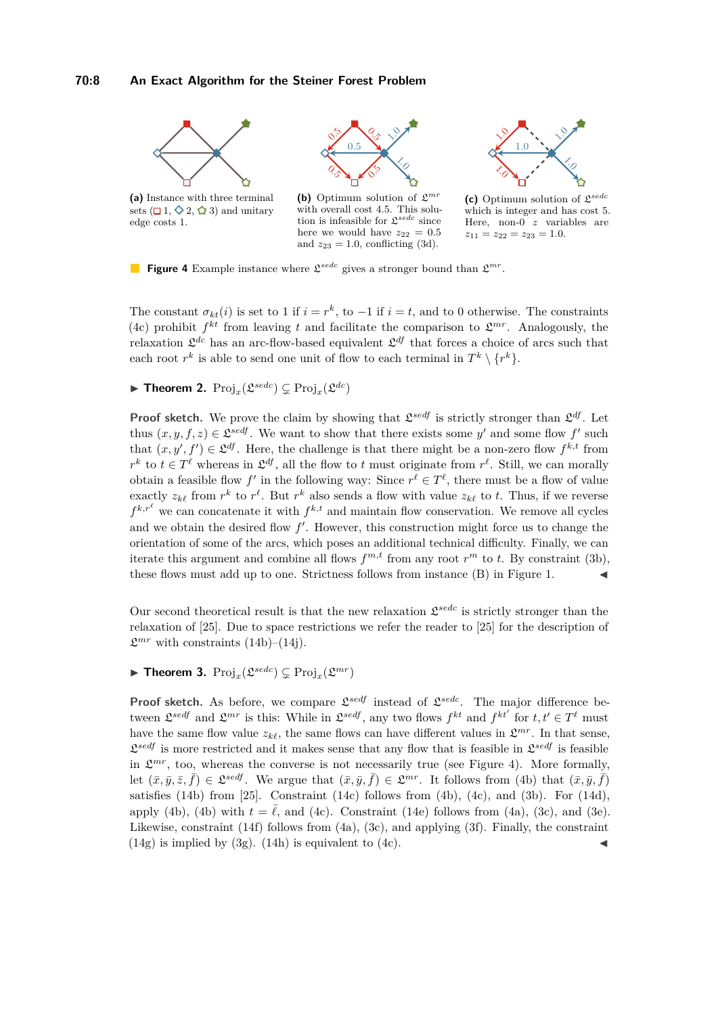#### **70:8 An Exact Algorithm for the Steiner Forest Problem**

<span id="page-7-0"></span>



**(c)** Optimum solution of L *sedc* which is integer and has cost 5. Here, non-0 *z* variables are  $z_{11} = z_{22} = z_{23} = 1.0.$ 

**Figure 4** Example instance where  $\mathfrak{L}^{sede}$  gives a stronger bound than  $\mathfrak{L}^{mr}$ .

The constant  $\sigma_{kt}(i)$  is set to 1 if  $i = r^k$ , to  $-1$  if  $i = t$ , and to 0 otherwise. The constraints [\(4c\)](#page-6-0) prohibit  $f^{kt}$  from leaving t and facilitate the comparison to  $\mathfrak{L}^{mr}$ . Analogously, the relaxation  $\mathfrak{L}^{dc}$  has an arc-flow-based equivalent  $\mathfrak{L}^{df}$  that forces a choice of arcs such that each root  $r^k$  is able to send one unit of flow to each terminal in  $T^k \setminus \{r^k\}$ .

here we would have  $z_{22} = 0.5$ and  $z_{23} = 1.0$ , conflicting [\(3d\)](#page-5-4).

<span id="page-7-1"></span> $\blacktriangleright$  **Theorem 2.**  $\text{Proj}_x(\mathfrak{L}^{sede}) \subsetneq \text{Proj}_x(\mathfrak{L}^{dc})$ 

**Proof sketch.** We prove the claim by showing that  $\mathcal{L}^{sedf}$  is strictly stronger than  $\mathcal{L}^{df}$ . Let thus  $(x, y, f, z) \in \mathfrak{L}^{sedf}$ . We want to show that there exists some *y'* and some flow *f'* such that  $(x, y', f') \in \mathcal{L}^{\mathcal{df}}$ . Here, the challenge is that there might be a non-zero flow  $f^{k,t}$  from  $r^k$  to  $t \in T^{\ell}$  whereas in  $\mathfrak{L}^{df}$ , all the flow to *t* must originate from  $r^{\ell}$ . Still, we can morally obtain a feasible flow  $f'$  in the following way: Since  $r^{\ell} \in T^{\ell}$ , there must be a flow of value exactly  $z_{k\ell}$  from  $r^k$  to  $r^{\ell}$ . But  $r^k$  also sends a flow with value  $z_{k\ell}$  to *t*. Thus, if we reverse  $f^{k,r^{\ell}}$  we can concatenate it with  $f^{k,t}$  and maintain flow conservation. We remove all cycles and we obtain the desired flow  $f'$ . However, this construction might force us to change the orientation of some of the arcs, which poses an additional technical difficulty. Finally, we can iterate this argument and combine all flows  $f^{m,t}$  from any root  $r^m$  to *t*. By constraint [\(3b\)](#page-5-2), these flows must add up to one. Strictness follows from instance (B) in Figure [1.](#page-1-0)

Our second theoretical result is that the new relaxation  $\mathcal{L}^{sede}$  is strictly stronger than the relaxation of [\[25\]](#page-13-0). Due to space restrictions we refer the reader to [\[25\]](#page-13-0) for the description of  $\mathfrak{L}^{mr}$  with constraints (14b)–(14j).

# <span id="page-7-2"></span> $\blacktriangleright$  **Theorem 3.**  $\text{Proj}_x(\mathfrak{L}^{sede}) \subsetneq \text{Proj}_x(\mathfrak{L}^{mr})$

**Proof sketch.** As before, we compare  $\mathcal{L}^{sedf}$  instead of  $\mathcal{L}^{sedc}$ . The major difference between  $\mathfrak{L}^{sedf}$  and  $\mathfrak{L}^{mr}$  is this: While in  $\mathfrak{L}^{sedf}$ , any two flows  $f^{kt}$  and  $f^{kt'}$  for  $t, t' \in T^{\ell}$  must have the same flow value  $z_{k\ell}$ , the same flows can have different values in  $\mathcal{L}^{mr}$ . In that sense,  $\mathcal{L}^{sedf}$  is more restricted and it makes sense that any flow that is feasible in  $\mathcal{L}^{sedf}$  is feasible in  $\mathfrak{L}^{mr}$ , too, whereas the converse is not necessarily true (see Figure [4\)](#page-7-0). More formally, let  $(\bar{x}, \bar{y}, \bar{z}, \bar{f}) \in \mathfrak{L}^{sedf}$ . We argue that  $(\bar{x}, \bar{y}, \bar{f}) \in \mathfrak{L}^{mr}$ . It follows from [\(4b\)](#page-6-1) that  $(\bar{x}, \bar{y}, \bar{f})$ satisfies (14b) from [\[25\]](#page-13-0). Constraint (14c) follows from [\(4b\)](#page-6-1), [\(4c\)](#page-6-0), and [\(3b\)](#page-5-2). For (14d), apply [\(4b\)](#page-6-1), (4b) with  $t = \ell$ , and [\(4c\)](#page-6-0). Constraint (14e) follows from [\(4a\)](#page-6-2), [\(3c\)](#page-5-3), and [\(3e\)](#page-5-5). Likewise, constraint (14f) follows from  $(4a)$ ,  $(3c)$ , and applying  $(3f)$ . Finally, the constraint  $(14g)$  is implied by  $(3g)$ .  $(14h)$  is equivalent to  $(4c)$ .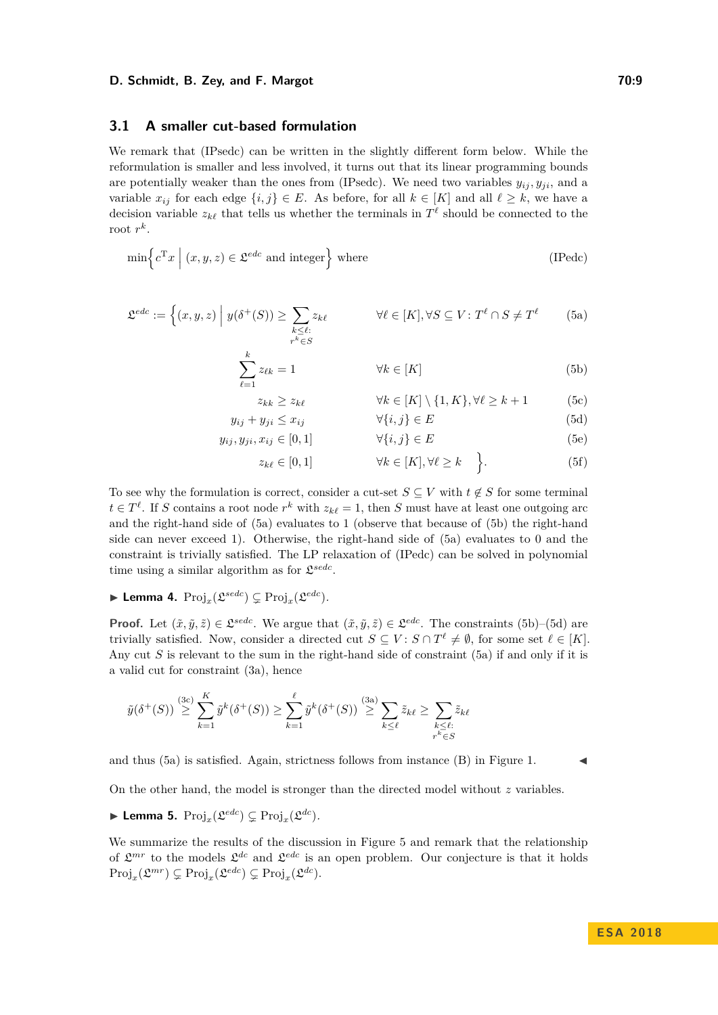#### **D. Schmidt, B. Zey, and F. Margot 70:9** *The Schmidt, B. Zey, and F. Margot**70:9*

### **3.1 A smaller cut-based formulation**

We remark that [\(IPsedc\)](#page-5-9) can be written in the slightly different form below. While the reformulation is smaller and less involved, it turns out that its linear programming bounds are potentially weaker than the ones from [\(IPsedc\)](#page-5-9). We need two variables  $y_{ij}, y_{ji}$ , and a variable  $x_{ij}$  for each edge  $\{i, j\} \in E$ . As before, for all  $k \in [K]$  and all  $\ell \geq k$ , we have a decision variable  $z_{k\ell}$  that tells us whether the terminals in  $T^{\ell}$  should be connected to the root  $r^k$ .

$$
\min \left\{ c^{\mathrm{T}} x \mid (x, y, z) \in \mathcal{L}^{edc} \text{ and integer} \right\} \text{ where } \tag{IPedc}
$$

$$
\mathfrak{L}^{edc} := \left\{ (x, y, z) \middle| y(\delta^+(S)) \ge \sum_{\substack{k \le \ell : \\ r^k \in S}} z_{k\ell} \right\} \forall \ell \in [K], \forall S \subseteq V : T^{\ell} \cap S \neq T^{\ell} \tag{5a}
$$

$$
\sum_{\ell=1}^{k} z_{\ell k} = 1 \qquad \qquad \forall k \in [K] \tag{5b}
$$

<span id="page-8-3"></span><span id="page-8-2"></span><span id="page-8-1"></span><span id="page-8-0"></span>
$$
z_{kk} \ge z_{k\ell} \qquad \forall k \in [K] \setminus \{1, K\}, \forall \ell \ge k+1 \qquad (5c)
$$

$$
y_{ij} + y_{ji} \le x_{ij} \qquad \forall \{i, j\} \in E \tag{5d}
$$

$$
y_{ij}, y_{ji}, x_{ij} \in [0, 1] \qquad \forall \{i, j\} \in E \tag{5e}
$$

$$
z_{i, \ell} \in [0, 1] \qquad \forall k \in [K] \forall \ell > k \qquad (5f)
$$

$$
z_{k\ell} \in [0,1] \qquad \qquad \forall k \in [K], \forall \ell \ge k \qquad \bigg\}.
$$
 (5f)

To see why the formulation is correct, consider a cut-set  $S \subseteq V$  with  $t \notin S$  for some terminal  $t \in T^{\ell}$ . If *S* contains a root node  $r^k$  with  $z_{k\ell} = 1$ , then *S* must have at least one outgoing arc and the right-hand side of [\(5a\)](#page-8-0) evaluates to 1 (observe that because of [\(5b\)](#page-8-1) the right-hand side can never exceed 1). Otherwise, the right-hand side of [\(5a\)](#page-8-0) evaluates to 0 and the constraint is trivially satisfied. The LP relaxation of [\(IPedc\)](#page-8-2) can be solved in polynomial time using a similar algorithm as for  $\mathfrak{L}^{sede}$ .

<span id="page-8-5"></span> $\blacktriangleright$  Lemma 4.  $\text{Proj}_x(\mathfrak{L}^{sede}) \subsetneq \text{Proj}_x(\mathfrak{L}^{edc})$ .

**Proof.** Let  $(\tilde{x}, \tilde{y}, \tilde{z}) \in \mathcal{L}^{sede}$ . We argue that  $(\tilde{x}, \tilde{y}, \tilde{z}) \in \mathcal{L}^{edc}$ . The constraints [\(5b\)](#page-8-1)–[\(5d\)](#page-8-3) are trivially satisfied. Now, consider a directed cut  $S \subseteq V : S \cap T^{\ell} \neq \emptyset$ , for some set  $\ell \in [K]$ . Any cut *S* is relevant to the sum in the right-hand side of constraint [\(5a\)](#page-8-0) if and only if it is a valid cut for constraint [\(3a\)](#page-5-1), hence

$$
\tilde{y}(\delta^+(S)) \stackrel{\text{(3c)}}{\geq} \sum_{k=1}^K \tilde{y}^k(\delta^+(S)) \geq \sum_{k=1}^\ell \tilde{y}^k(\delta^+(S)) \stackrel{\text{(3a)}}{\geq} \sum_{k \leq \ell} \tilde{z}_{k\ell} \geq \sum_{\substack{k \leq \ell:\\r^k \in S}} \tilde{z}_{k\ell}
$$

and thus  $(5a)$  is satisfied. Again, strictness follows from instance  $(B)$  in Figure [1.](#page-1-0)

On the other hand, the model is stronger than the directed model without *z* variables.

<span id="page-8-4"></span> $\blacktriangleright$  Lemma 5.  $\text{Proj}_x(\mathfrak{L}^{edc}) \subsetneq \text{Proj}_x(\mathfrak{L}^{dc})$ .

We summarize the results of the discussion in Figure [5](#page-9-0) and remark that the relationship of  $\mathfrak{L}^{mr}$  to the models  $\mathfrak{L}^{dc}$  and  $\mathfrak{L}^{edc}$  is an open problem. Our conjecture is that it holds  $\text{Proj}_x(\mathfrak{L}^{mr}) \subsetneq \text{Proj}_x(\mathfrak{L}^{edc}) \subsetneq \text{Proj}_x(\mathfrak{L}^{dc}).$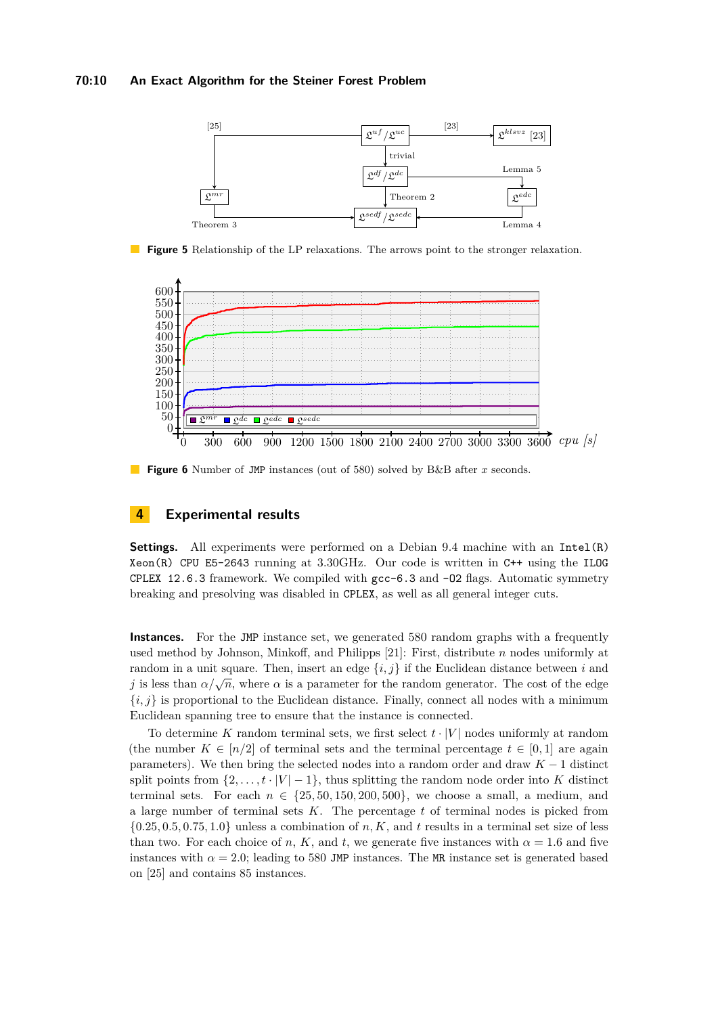#### **70:10 An Exact Algorithm for the Steiner Forest Problem**

<span id="page-9-0"></span>

**Figure 5** Relationship of the LP relaxations. The arrows point to the stronger relaxation.

<span id="page-9-1"></span>

**Figure 6** Number of JMP instances (out of 580) solved by B&B after *x* seconds.

## **4 Experimental results**

**Settings.** All experiments were performed on a Debian 9.4 machine with an Intel(R) Xeon(R) CPU E5-2643 running at 3.30GHz. Our code is written in C++ using the ILOG CPLEX 12.6.3 framework. We compiled with  $\text{gcc}-6.3$  and  $\text{-}02$  flags. Automatic symmetry breaking and presolving was disabled in CPLEX, as well as all general integer cuts.

**Instances.** For the JMP instance set, we generated 580 random graphs with a frequently used method by Johnson, Minkoff, and Philipps [\[21\]](#page-13-8): First, distribute *n* nodes uniformly at random in a unit square. Then, insert an edge  $\{i, j\}$  if the Euclidean distance between *i* and *j* is less than  $\alpha/\sqrt{n}$ , where  $\alpha$  is a parameter for the random generator. The cost of the edge  ${i, j}$  is proportional to the Euclidean distance. Finally, connect all nodes with a minimum Euclidean spanning tree to ensure that the instance is connected.

To determine *K* random terminal sets, we first select *t* · |*V* | nodes uniformly at random (the number  $K \in [n/2]$  of terminal sets and the terminal percentage  $t \in [0, 1]$  are again parameters). We then bring the selected nodes into a random order and draw *K* − 1 distinct split points from  $\{2, \ldots, t \cdot |V| - 1\}$ , thus splitting the random node order into K distinct terminal sets. For each  $n \in \{25, 50, 150, 200, 500\}$ , we choose a small, a medium, and a large number of terminal sets *K*. The percentage *t* of terminal nodes is picked from  $\{0.25, 0.5, 0.75, 1.0\}$  unless a combination of *n, K*, and *t* results in a terminal set size of less than two. For each choice of *n*, *K*, and *t*, we generate five instances with  $\alpha = 1.6$  and five instances with  $\alpha = 2.0$ ; leading to 580 JMP instances. The MR instance set is generated based on [\[25\]](#page-13-0) and contains 85 instances.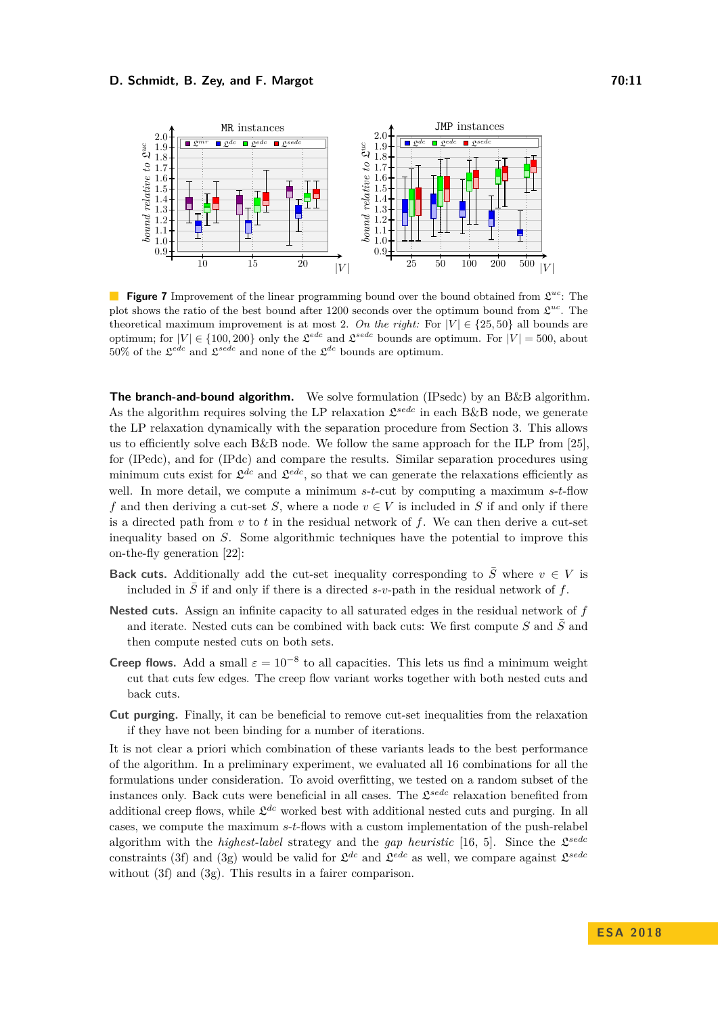#### **D. Schmidt, B. Zey, and F. Margot 70:11 70:11**

<span id="page-10-0"></span>

**Figure 7** Improvement of the linear programming bound over the bound obtained from  $\mathcal{L}^{uc}$ . The plot shows the ratio of the best bound after 1200 seconds over the optimum bound from  $\mathfrak{L}^{uc}$ . The theoretical maximum improvement is at most 2. On the right: For  $|V| \in \{25, 50\}$  all bounds are optimum; for  $|V| \in \{100, 200\}$  only the  $\mathfrak{L}^{ede}$  and  $\mathfrak{L}^{sede}$  bounds are optimum. For  $|V| = 500$ , about 50% of the  $\mathfrak{L}^{edc}$  and  $\mathfrak{L}^{sede}$  and none of the  $\mathfrak{L}^{dc}$  bounds are optimum.

**The branch-and-bound algorithm.** We solve formulation [\(IPsedc\)](#page-5-9) by an B&B algorithm. As the algorithm requires solving the LP relaxation  $\mathfrak{L}^{sedc}$  in each B&B node, we generate the LP relaxation dynamically with the separation procedure from Section [3.](#page-5-10) This allows us to efficiently solve each  $B&B$  node. We follow the same approach for the ILP from [\[25\]](#page-13-0), for [\(IPedc\)](#page-8-2), and for [\(IPdc\)](#page-4-3) and compare the results. Similar separation procedures using minimum cuts exist for  $\mathfrak{L}^{dc}$  and  $\mathfrak{L}^{edc}$ , so that we can generate the relaxations efficiently as well. In more detail, we compute a minimum *s*-*t*-cut by computing a maximum *s*-*t*-flow *f* and then deriving a cut-set *S*, where a node  $v \in V$  is included in *S* if and only if there is a directed path from *v* to *t* in the residual network of *f*. We can then derive a cut-set inequality based on *S*. Some algorithmic techniques have the potential to improve this on-the-fly generation [\[22\]](#page-13-3):

- **Back cuts.** Additionally add the cut-set inequality corresponding to  $\overline{S}$  where  $v \in V$  is included in  $\overline{S}$  if and only if there is a directed *s*-*v*-path in the residual network of *f*.
- **Nested cuts.** Assign an infinite capacity to all saturated edges in the residual network of *f* and iterate. Nested cuts can be combined with back cuts: We first compute  $S$  and  $\overline{S}$  and then compute nested cuts on both sets.
- **Creep flows.** Add a small  $\varepsilon = 10^{-8}$  to all capacities. This lets us find a minimum weight cut that cuts few edges. The creep flow variant works together with both nested cuts and back cuts.
- **Cut purging.** Finally, it can be beneficial to remove cut-set inequalities from the relaxation if they have not been binding for a number of iterations.

It is not clear a priori which combination of these variants leads to the best performance of the algorithm. In a preliminary experiment, we evaluated all 16 combinations for all the formulations under consideration. To avoid overfitting, we tested on a random subset of the instances only. Back cuts were beneficial in all cases. The  $\mathfrak{L}^{sedc}$  relaxation benefited from additional creep flows, while  $\mathfrak{L}^{dc}$  worked best with additional nested cuts and purging. In all cases, we compute the maximum *s*-*t*-flows with a custom implementation of the push-relabel algorithm with the *highest-label* strategy and the *gap heuristic* [\[16,](#page-12-18) [5\]](#page-12-19). Since the  $\mathcal{L}^{sedc}$ constraints [\(3f\)](#page-5-6) and [\(3g\)](#page-5-7) would be valid for  $\mathfrak{L}^{dc}$  and  $\mathfrak{L}^{edc}$  as well, we compare against  $\mathfrak{L}^{sede}$ without [\(3f\)](#page-5-6) and [\(3g\)](#page-5-7). This results in a fairer comparison.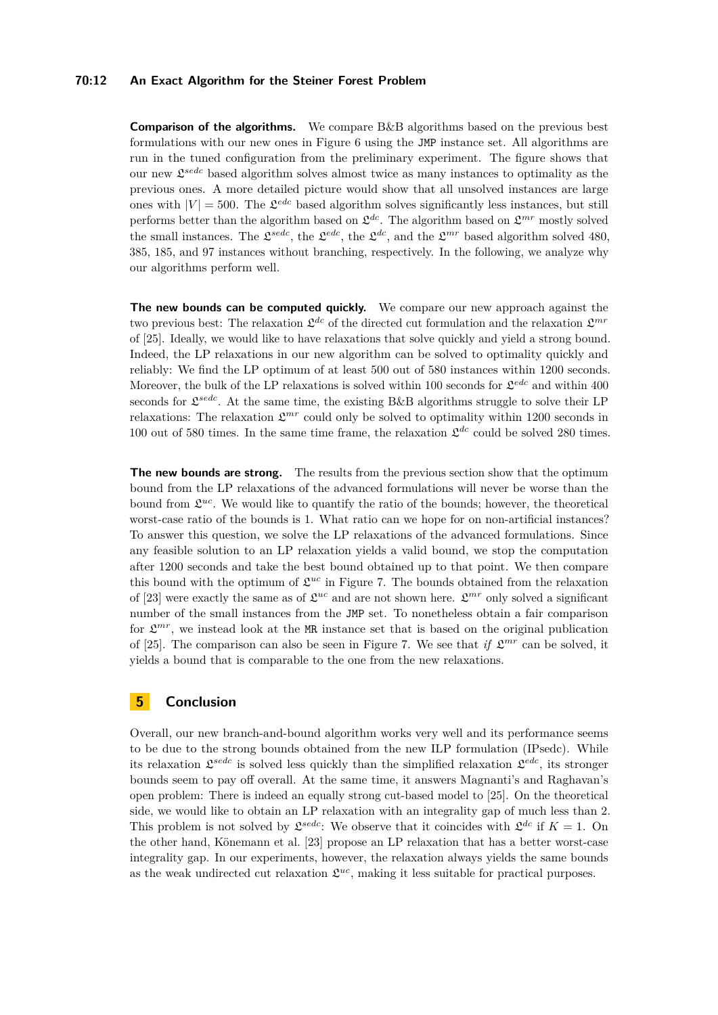#### **70:12 An Exact Algorithm for the Steiner Forest Problem**

**Comparison of the algorithms.** We compare B&B algorithms based on the previous best formulations with our new ones in Figure [6](#page-9-1) using the JMP instance set. All algorithms are run in the tuned configuration from the preliminary experiment. The figure shows that our new L *sedc* based algorithm solves almost twice as many instances to optimality as the previous ones. A more detailed picture would show that all unsolved instances are large ones with  $|V| = 500$ . The  $\mathcal{L}^{edc}$  based algorithm solves significantly less instances, but still performs better than the algorithm based on  $\mathfrak{L}^{dc}$ . The algorithm based on  $\mathfrak{L}^{mr}$  mostly solved the small instances. The  $\mathfrak{L}^{sede}$ , the  $\mathfrak{L}^{ede}$ , the  $\mathfrak{L}^{dc}$ , and the  $\mathfrak{L}^{mr}$  based algorithm solved 480, 385, 185, and 97 instances without branching, respectively. In the following, we analyze why our algorithms perform well.

**The new bounds can be computed quickly.** We compare our new approach against the two previous best: The relaxation  $\mathfrak{L}^{dc}$  of the directed cut formulation and the relaxation  $\mathfrak{L}^{mr}$ of [\[25\]](#page-13-0). Ideally, we would like to have relaxations that solve quickly and yield a strong bound. Indeed, the LP relaxations in our new algorithm can be solved to optimality quickly and reliably: We find the LP optimum of at least 500 out of 580 instances within 1200 seconds. Moreover, the bulk of the LP relaxations is solved within 100 seconds for  $\mathfrak{L}^{edc}$  and within 400 seconds for  $\mathfrak{L}^{sedc}$ . At the same time, the existing B&B algorithms struggle to solve their LP relaxations: The relaxation  $\mathfrak{L}^{mr}$  could only be solved to optimality within 1200 seconds in 100 out of 580 times. In the same time frame, the relaxation  $\mathfrak{L}^{dc}$  could be solved 280 times.

**The new bounds are strong.** The results from the previous section show that the optimum bound from the LP relaxations of the advanced formulations will never be worse than the bound from  $\mathfrak{L}^{uc}$ . We would like to quantify the ratio of the bounds; however, the theoretical worst-case ratio of the bounds is 1. What ratio can we hope for on non-artificial instances? To answer this question, we solve the LP relaxations of the advanced formulations. Since any feasible solution to an LP relaxation yields a valid bound, we stop the computation after 1200 seconds and take the best bound obtained up to that point. We then compare this bound with the optimum of  $\mathfrak{L}^{uc}$  in Figure [7.](#page-10-0) The bounds obtained from the relaxation of [\[23\]](#page-13-2) were exactly the same as of  $\mathfrak{L}^{uc}$  and are not shown here.  $\mathfrak{L}^{mr}$  only solved a significant number of the small instances from the JMP set. To nonetheless obtain a fair comparison for  $\mathfrak{L}^{mr}$ , we instead look at the MR instance set that is based on the original publication of [\[25\]](#page-13-0). The comparison can also be seen in Figure [7.](#page-10-0) We see that *if*  $\mathcal{L}^{mr}$  can be solved, it yields a bound that is comparable to the one from the new relaxations.

## **5 Conclusion**

Overall, our new branch-and-bound algorithm works very well and its performance seems to be due to the strong bounds obtained from the new ILP formulation [\(IPsedc\)](#page-5-9). While its relaxation  $\mathcal{L}^{sede}$  is solved less quickly than the simplified relaxation  $\mathcal{L}^{edc}$ , its stronger bounds seem to pay off overall. At the same time, it answers Magnanti's and Raghavan's open problem: There is indeed an equally strong cut-based model to [\[25\]](#page-13-0). On the theoretical side, we would like to obtain an LP relaxation with an integrality gap of much less than 2. This problem is not solved by  $\mathfrak{L}^{sedc}$ : We observe that it coincides with  $\mathfrak{L}^{dc}$  if  $K = 1$ . On the other hand, Könemann et al. [\[23\]](#page-13-2) propose an LP relaxation that has a better worst-case integrality gap. In our experiments, however, the relaxation always yields the same bounds as the weak undirected cut relaxation  $\mathcal{L}^{uc}$ , making it less suitable for practical purposes.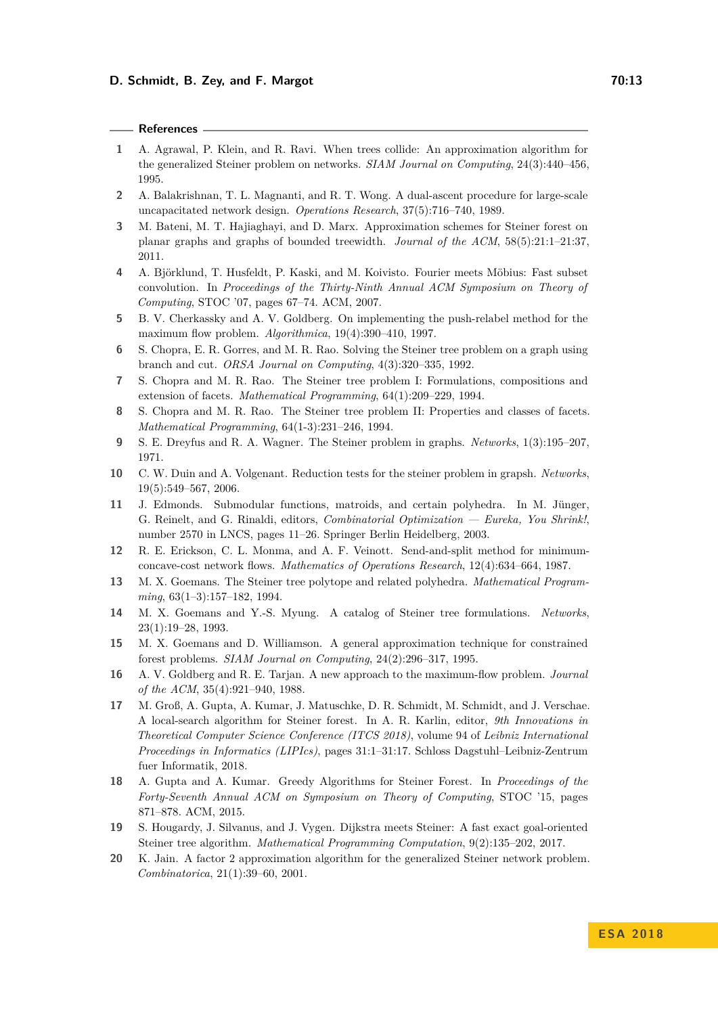#### **References**

- <span id="page-12-0"></span>**1** A. Agrawal, P. Klein, and R. Ravi. When trees collide: An approximation algorithm for the generalized Steiner problem on networks. *SIAM Journal on Computing*, 24(3):440–456, 1995.
- <span id="page-12-3"></span>**2** A. Balakrishnan, T. L. Magnanti, and R. T. Wong. A dual-ascent procedure for large-scale uncapacitated network design. *Operations Research*, 37(5):716–740, 1989.
- <span id="page-12-17"></span>**3** M. Bateni, M. T. Hajiaghayi, and D. Marx. Approximation schemes for Steiner forest on planar graphs and graphs of bounded treewidth. *Journal of the ACM*, 58(5):21:1–21:37, 2011.
- <span id="page-12-10"></span>**4** A. Björklund, T. Husfeldt, P. Kaski, and M. Koivisto. Fourier meets Möbius: Fast subset convolution. In *Proceedings of the Thirty-Ninth Annual ACM Symposium on Theory of Computing*, STOC '07, pages 67–74. ACM, 2007.
- <span id="page-12-19"></span>**5** B. V. Cherkassky and A. V. Goldberg. On implementing the push-relabel method for the maximum flow problem. *Algorithmica*, 19(4):390–410, 1997.
- <span id="page-12-5"></span>**6** S. Chopra, E. R. Gorres, and M. R. Rao. Solving the Steiner tree problem on a graph using branch and cut. *ORSA Journal on Computing*, 4(3):320–335, 1992.
- <span id="page-12-4"></span>**7** S. Chopra and M. R. Rao. The Steiner tree problem I: Formulations, compositions and extension of facets. *Mathematical Programming*, 64(1):209–229, 1994.
- <span id="page-12-8"></span>**8** S. Chopra and M. R. Rao. The Steiner tree problem II: Properties and classes of facets. *Mathematical Programming*, 64(1-3):231–246, 1994.
- <span id="page-12-11"></span>**9** S. E. Dreyfus and R. A. Wagner. The Steiner problem in graphs. *Networks*, 1(3):195–207, 1971.
- <span id="page-12-14"></span>**10** C. W. Duin and A. Volgenant. Reduction tests for the steiner problem in grapsh. *Networks*, 19(5):549–567, 2006.
- <span id="page-12-7"></span>**11** J. Edmonds. Submodular functions, matroids, and certain polyhedra. In M. Jünger, G. Reinelt, and G. Rinaldi, editors, *Combinatorial Optimization — Eureka, You Shrink!*, number 2570 in LNCS, pages 11–26. Springer Berlin Heidelberg, 2003.
- <span id="page-12-12"></span>**12** R. E. Erickson, C. L. Monma, and A. F. Veinott. Send-and-split method for minimumconcave-cost network flows. *Mathematics of Operations Research*, 12(4):634–664, 1987.
- <span id="page-12-6"></span>**13** M. X. Goemans. The Steiner tree polytope and related polyhedra. *Mathematical Programming*, 63(1–3):157–182, 1994.
- <span id="page-12-9"></span>**14** M. X. Goemans and Y.-S. Myung. A catalog of Steiner tree formulations. *Networks*, 23(1):19–28, 1993.
- <span id="page-12-1"></span>**15** M. X. Goemans and D. Williamson. A general approximation technique for constrained forest problems. *SIAM Journal on Computing*, 24(2):296–317, 1995.
- <span id="page-12-18"></span>**16** A. V. Goldberg and R. E. Tarjan. A new approach to the maximum-flow problem. *Journal of the ACM*, 35(4):921–940, 1988.
- <span id="page-12-15"></span>**17** M. Groß, A. Gupta, A. Kumar, J. Matuschke, D. R. Schmidt, M. Schmidt, and J. Verschae. A local-search algorithm for Steiner forest. In A. R. Karlin, editor, *9th Innovations in Theoretical Computer Science Conference (ITCS 2018)*, volume 94 of *Leibniz International Proceedings in Informatics (LIPIcs)*, pages 31:1–31:17. Schloss Dagstuhl–Leibniz-Zentrum fuer Informatik, 2018.
- <span id="page-12-16"></span>**18** A. Gupta and A. Kumar. Greedy Algorithms for Steiner Forest. In *Proceedings of the Forty-Seventh Annual ACM on Symposium on Theory of Computing*, STOC '15, pages 871–878. ACM, 2015.
- <span id="page-12-13"></span>**19** S. Hougardy, J. Silvanus, and J. Vygen. Dijkstra meets Steiner: A fast exact goal-oriented Steiner tree algorithm. *Mathematical Programming Computation*, 9(2):135–202, 2017.
- <span id="page-12-2"></span>**20** K. Jain. A factor 2 approximation algorithm for the generalized Steiner network problem. *Combinatorica*, 21(1):39–60, 2001.